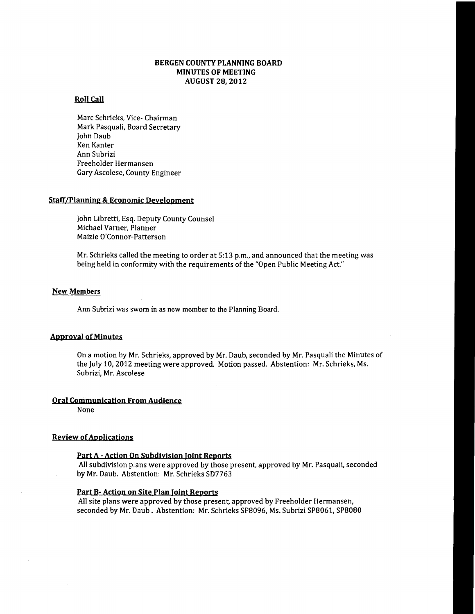#### BERGEN COUNTY PLANNING BOARD MINUTES OF MEETING AUGUST 28, 2012

## Roll Call

Marc Schrieks, Vice- Chairman Mark Pasquali, Board Secretary John Daub Ken Kanter Ann Subrizi Freeholder Hermansen Gary Ascolese, County Engineer

#### Staff/Planning & Economic Development

John Libretti, Esq. Deputy County Counsel Michael Varner, Planner Maizie O'Connor-Patterson

Mr. Schrieks called the meeting to order at 5:13 p.m., and announced that the meeting was being held in conformity with the requirements of the "Open Public Meeting Act"

#### New Members

Ann Subrizi was sworn in as new member to the Planning Board.

#### **Approval of Minutes**

On a motion by Mr. Schrieks, approved by Mr. Daub, seconded by Mr. Pasquali the Minutes of the July 10, 2012 meeting were approved. Motion passed. Abstention: Mr. Schrieks, Ms. Subrizi, Mr. Ascolese

#### Oral Communication From Audience

None

#### **Review of Applications**

#### Part A - Action On Subdivision Joint Reports

All subdivision plans were approved by those present, approved by Mr. Pasquali, seconded by Mr. Daub. Abstention: Mr. Schrieks SD7763

#### Part B- Action on Site Plan Joint Reports

All site plans were approved by those present, approved by Freeholder Hermansen, seconded by Mr. Daub. Abstention: Mr. Schrieks SP8096, Ms. Subrizi SP8061, SP8080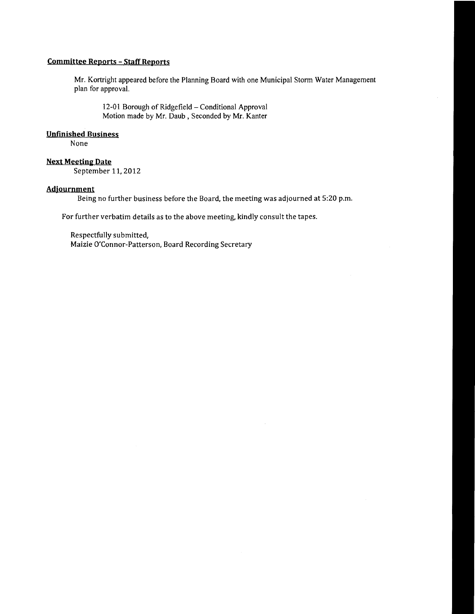### **Committee Reports - Staff Reports**

Mr. Kortright appeared before the Planning Board with one Municipal Storm Water Management plan for approval.

12-01 Borough of Ridgefield - Conditional Approval Motion made by Mr. Daub, Seconded by Mr. Kanter

#### **Unfinished Business**

None

# **Next Meeting Date**

September 11. 2012

#### **Adjournment**

Being no further business before the Board, the meeting was adjourned at 5:20 p.m.

For further verbatim details as to the above meeting, kindly consult the tapes.

Respectfully submitted, Maizie O'Connor-Patterson, Board Recording Secretary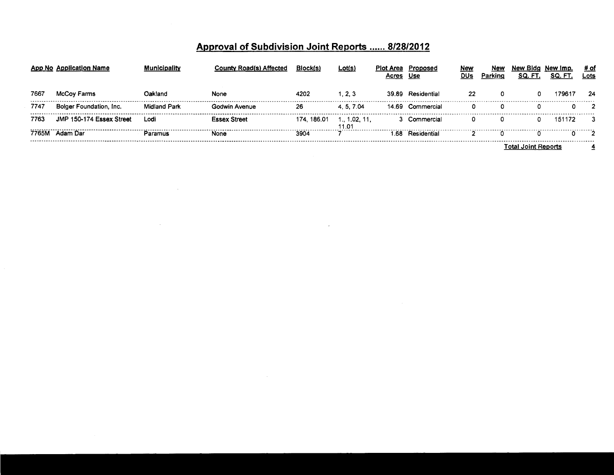|       | App No Application Name  | ıicipalitv          | <b>County Road(s) Affected</b> | Block(s)    | <u>Lot(s)</u>          | Plot Area | Proposed<br>Use   | New<br>DUs | Nev<br>Parking | New Blda<br>SQ. FT. | New Imp.<br>SQ. FT. | # of<br>Lots |
|-------|--------------------------|---------------------|--------------------------------|-------------|------------------------|-----------|-------------------|------------|----------------|---------------------|---------------------|--------------|
| 7667  | McCoy Farms              | Oakland             | None                           | 4202        | 1. 2. 3                |           | 39.89 Residential | 22         | 0              |                     | 79617               | 24           |
| 7747  | Bolger Foundation, Inc.  | <b>Midland Park</b> | Godwin Avenue                  | 26          | 4.5.7.04               |           | 14.69 Commercial  | 0          | 0              |                     |                     |              |
| 7763  | JMP 150-174 Essex Street | Lodi                | <b>Fssex Street</b>            | 174, 186.01 | 1., 1.02, 11,<br>11.01 |           | 3 Commercial      |            |                |                     | 151172              |              |
| 7765M | Adam Dar                 | Paramus             | None                           | 3904        |                        | -68       | Residential       |            |                |                     |                     |              |
|       |                          |                     |                                |             |                        |           |                   |            |                | Total Joint Reports |                     |              |

 $\ddot{\phantom{a}}$ 

 $\sim$ 

 $\sim 10^{-1}$ 

# Approval of Subdivision Joint Reports ...... 8/28/2012